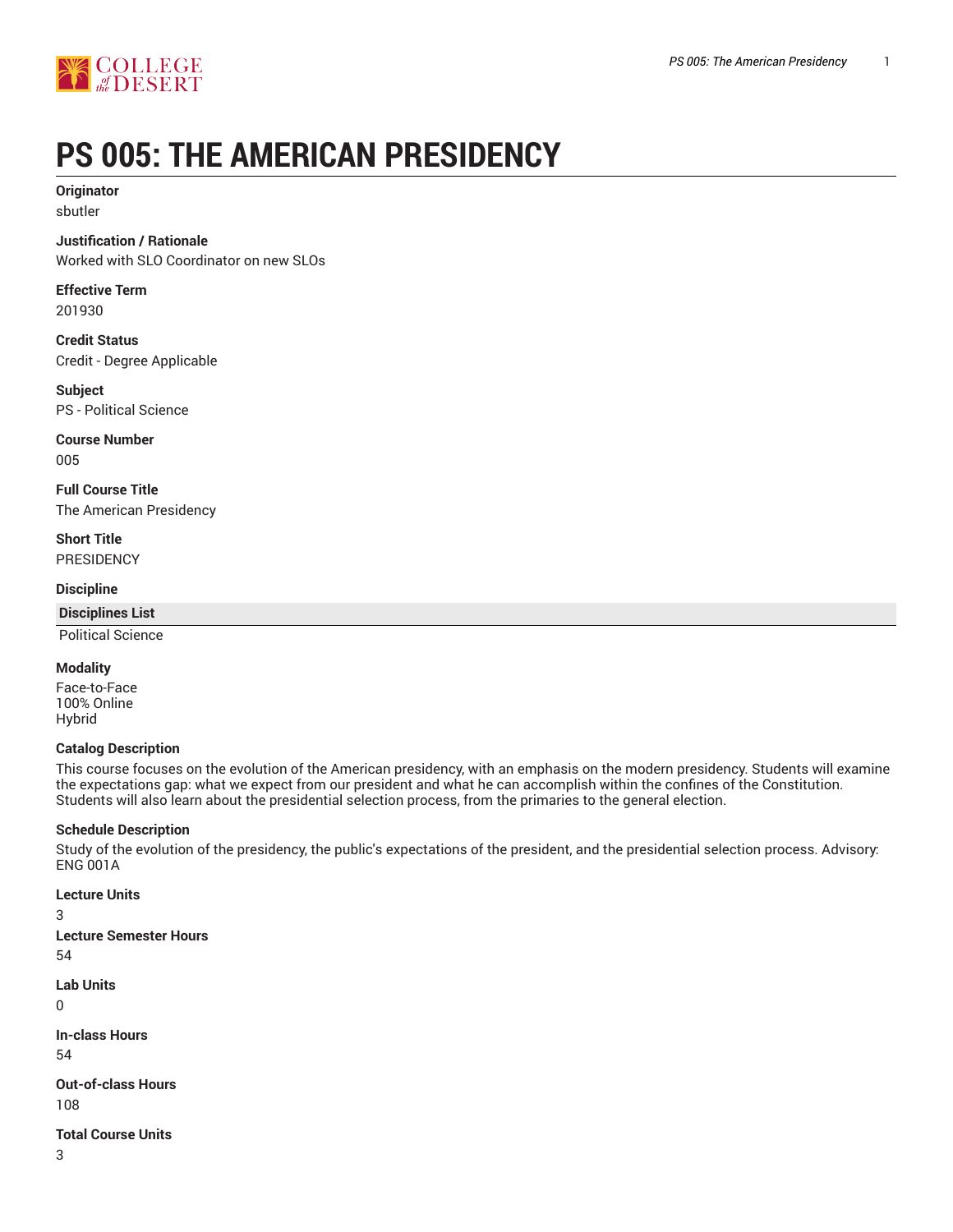



# **PS 005: THE AMERICAN PRESIDENCY**

# **Originator**

sbutler

# **Justification / Rationale**

Worked with SLO Coordinator on new SLOs

**Effective Term** 201930

**Credit Status** Credit - Degree Applicable

**Subject** PS - Political Science

**Course Number** 005

**Full Course Title** The American Presidency

**Short Title PRESIDENCY** 

#### **Discipline**

**Disciplines List**

Political Science

### **Modality**

Face-to-Face 100% Online Hybrid

#### **Catalog Description**

This course focuses on the evolution of the American presidency, with an emphasis on the modern presidency. Students will examine the expectations gap: what we expect from our president and what he can accomplish within the confines of the Constitution. Students will also learn about the presidential selection process, from the primaries to the general election.

#### **Schedule Description**

Study of the evolution of the presidency, the public's expectations of the president, and the presidential selection process. Advisory: ENG 001A

**Lecture Units**

3

**Lecture Semester Hours**

54

**Lab Units**

 $\Omega$ 

**In-class Hours**

54

**Out-of-class Hours** 108

**Total Course Units**

3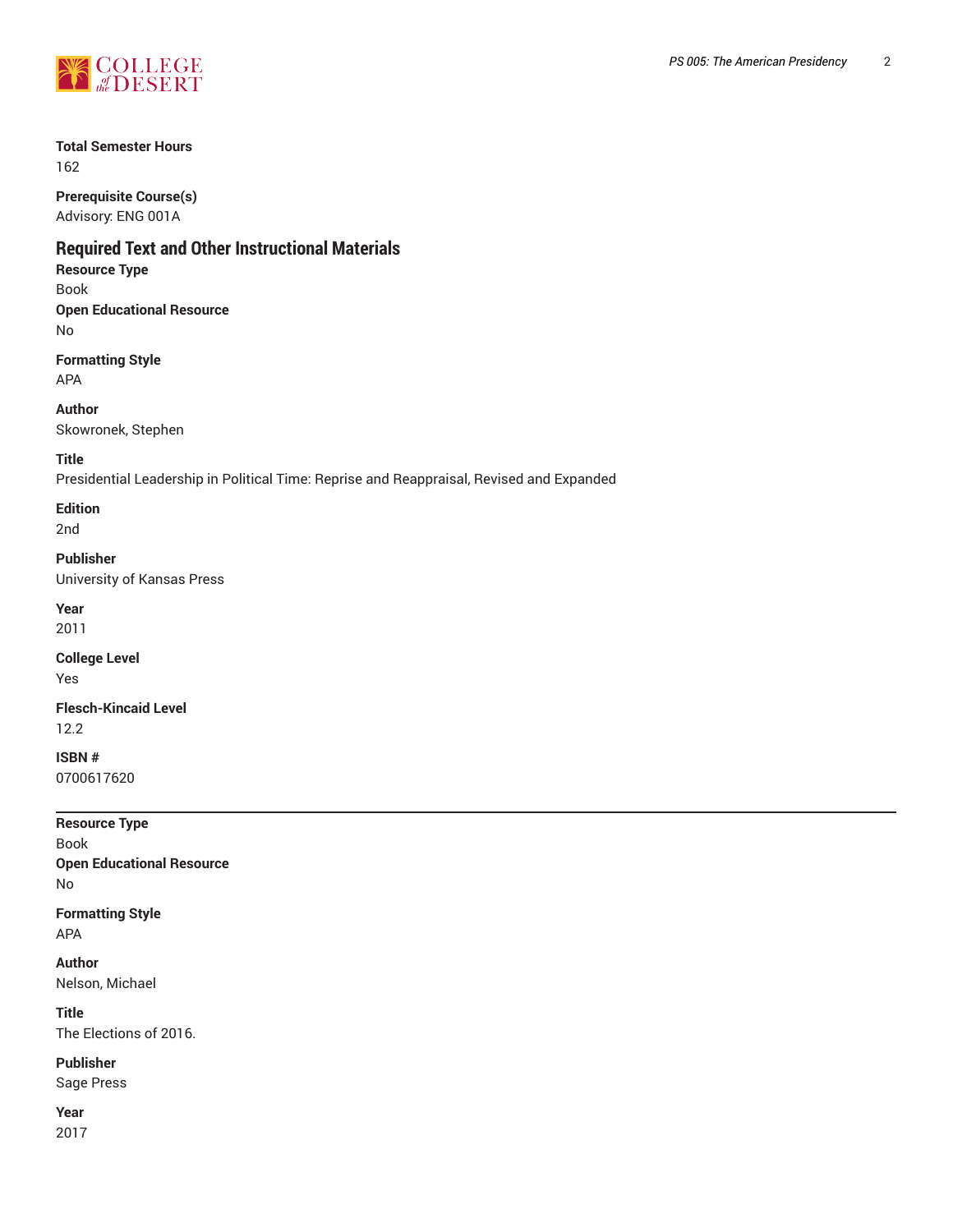

# **Total Semester Hours**

162

**Prerequisite Course(s)** Advisory: ENG 001A

# **Required Text and Other Instructional Materials**

# **Resource Type**

Book **Open Educational Resource** No

**Formatting Style** APA

**Author**

Skowronek, Stephen

**Title**

Presidential Leadership in Political Time: Reprise and Reappraisal, Revised and Expanded

**Edition**

2nd

**Publisher**

University of Kansas Press

**Year** 2011

**College Level** Yes

**Flesch-Kincaid Level** 12.2

**ISBN #** 0700617620

| <b>Resource Type</b>             |  |
|----------------------------------|--|
| Book                             |  |
| <b>Open Educational Resource</b> |  |
| No                               |  |
| Formatting Style                 |  |
| APA                              |  |

**Author** Nelson, Michael

**Title** The Elections of 2016.

**Publisher**

Sage Press

**Year** 2017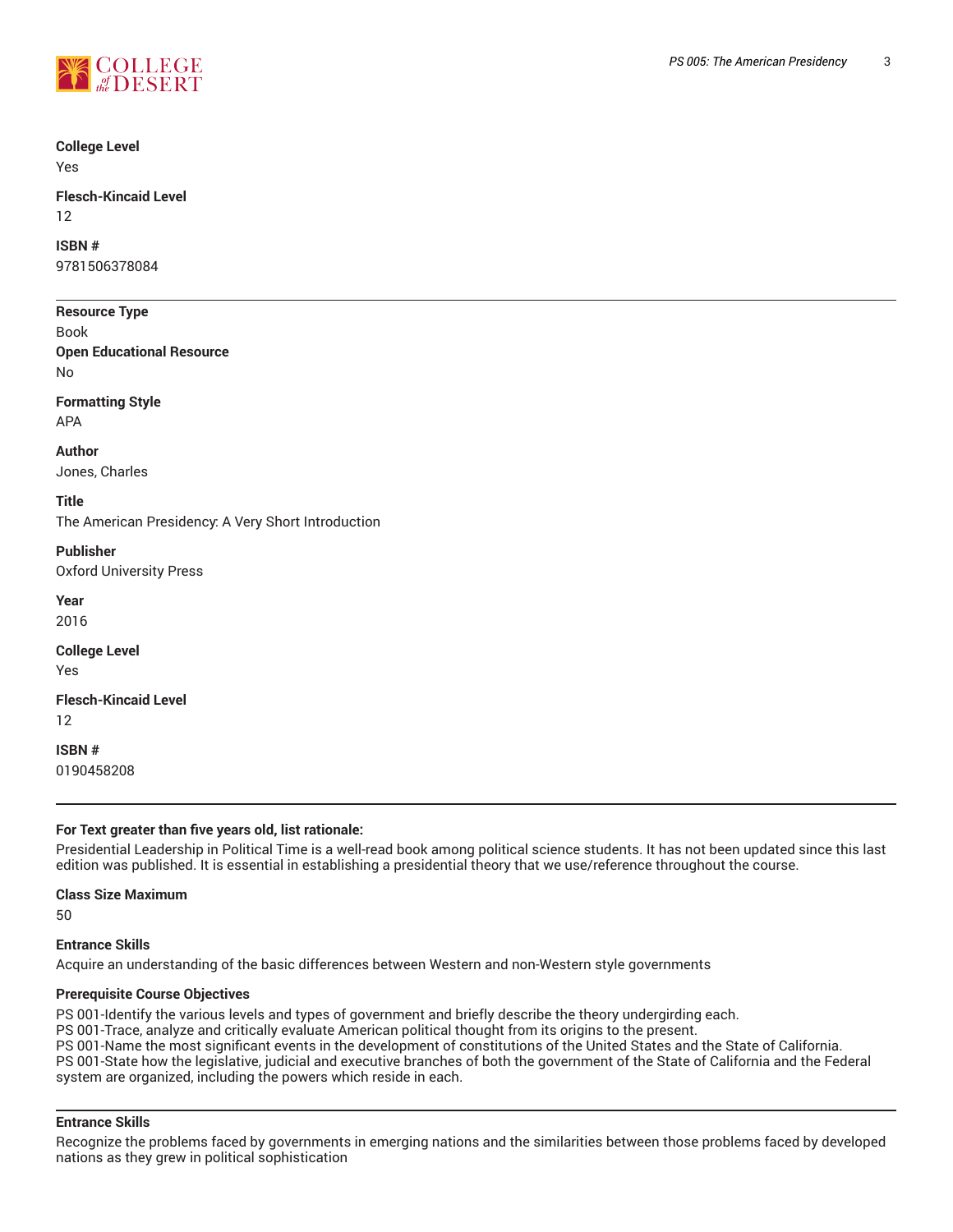

# **College Level**

Yes

#### **Flesch-Kincaid Level** 12

# **ISBN #**

9781506378084

# **Resource Type**

Book **Open Educational Resource** No

# **Formatting Style**

APA

#### **Author**

Jones, Charles

#### **Title**

The American Presidency: A Very Short Introduction

#### **Publisher**

Oxford University Press

**Year**

2016

#### **College Level** Yes

**Flesch-Kincaid Level** 12

**ISBN #** 0190458208

# **For Text greater than five years old, list rationale:**

Presidential Leadership in Political Time is a well-read book among political science students. It has not been updated since this last edition was published. It is essential in establishing a presidential theory that we use/reference throughout the course.

# **Class Size Maximum**

50

# **Entrance Skills**

Acquire an understanding of the basic differences between Western and non-Western style governments

# **Prerequisite Course Objectives**

PS 001-Identify the various levels and types of government and briefly describe the theory undergirding each.

PS 001-Trace, analyze and critically evaluate American political thought from its origins to the present.

PS 001-Name the most significant events in the development of constitutions of the United States and the State of California. PS 001-State how the legislative, judicial and executive branches of both the government of the State of California and the Federal system are organized, including the powers which reside in each.

# **Entrance Skills**

Recognize the problems faced by governments in emerging nations and the similarities between those problems faced by developed nations as they grew in political sophistication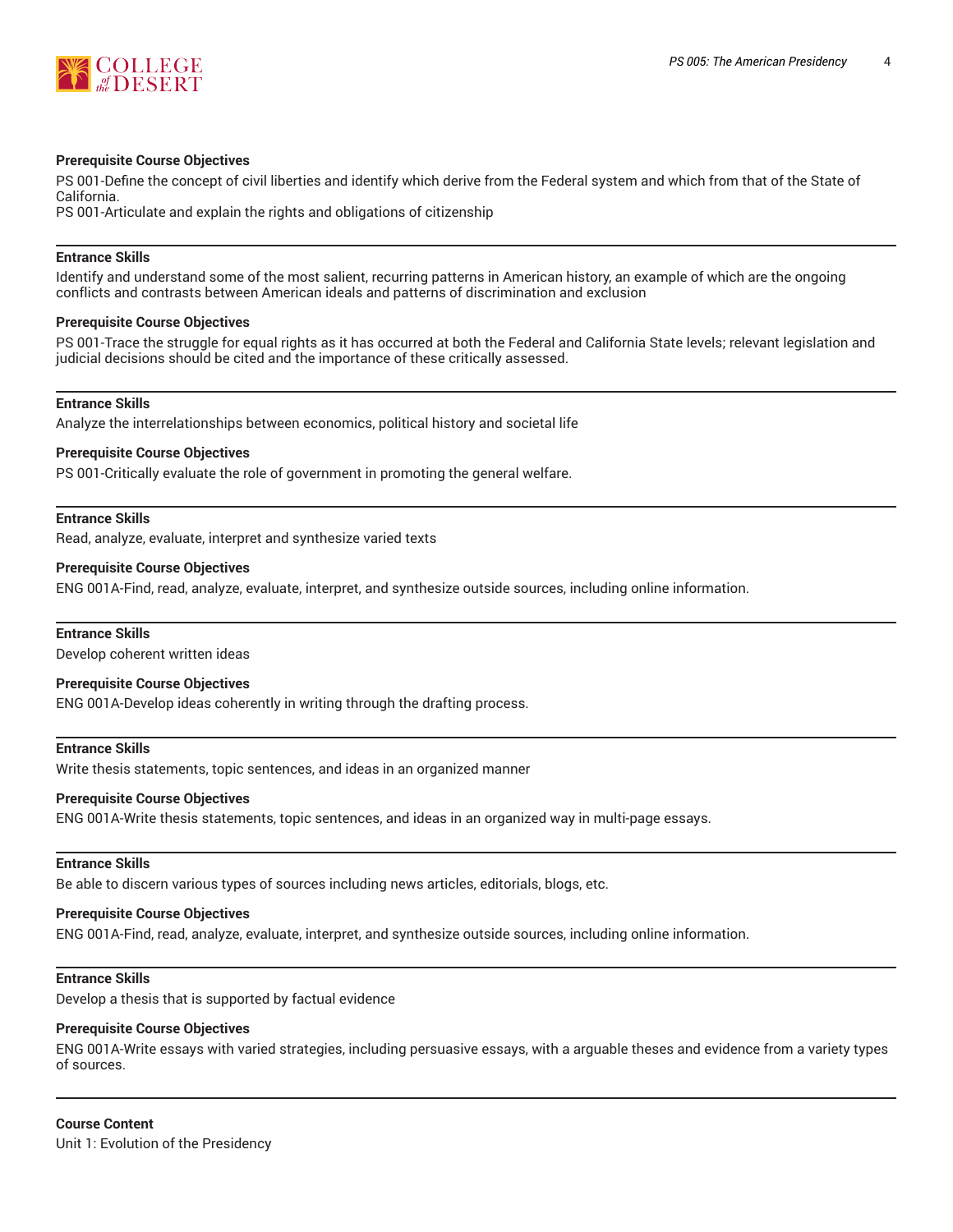



#### **Prerequisite Course Objectives**

PS 001-Define the concept of civil liberties and identify which derive from the Federal system and which from that of the State of California.

PS 001-Articulate and explain the rights and obligations of citizenship

#### **Entrance Skills**

Identify and understand some of the most salient, recurring patterns in American history, an example of which are the ongoing conflicts and contrasts between American ideals and patterns of discrimination and exclusion

#### **Prerequisite Course Objectives**

PS 001-Trace the struggle for equal rights as it has occurred at both the Federal and California State levels; relevant legislation and judicial decisions should be cited and the importance of these critically assessed.

#### **Entrance Skills**

Analyze the interrelationships between economics, political history and societal life

#### **Prerequisite Course Objectives**

PS 001-Critically evaluate the role of government in promoting the general welfare.

#### **Entrance Skills**

Read, analyze, evaluate, interpret and synthesize varied texts

#### **Prerequisite Course Objectives**

ENG 001A-Find, read, analyze, evaluate, interpret, and synthesize outside sources, including online information.

### **Entrance Skills**

Develop coherent written ideas

#### **Prerequisite Course Objectives**

ENG 001A-Develop ideas coherently in writing through the drafting process.

#### **Entrance Skills**

Write thesis statements, topic sentences, and ideas in an organized manner

#### **Prerequisite Course Objectives**

ENG 001A-Write thesis statements, topic sentences, and ideas in an organized way in multi-page essays.

#### **Entrance Skills**

Be able to discern various types of sources including news articles, editorials, blogs, etc.

#### **Prerequisite Course Objectives**

ENG 001A-Find, read, analyze, evaluate, interpret, and synthesize outside sources, including online information.

#### **Entrance Skills**

Develop a thesis that is supported by factual evidence

#### **Prerequisite Course Objectives**

ENG 001A-Write essays with varied strategies, including persuasive essays, with a arguable theses and evidence from a variety types of sources.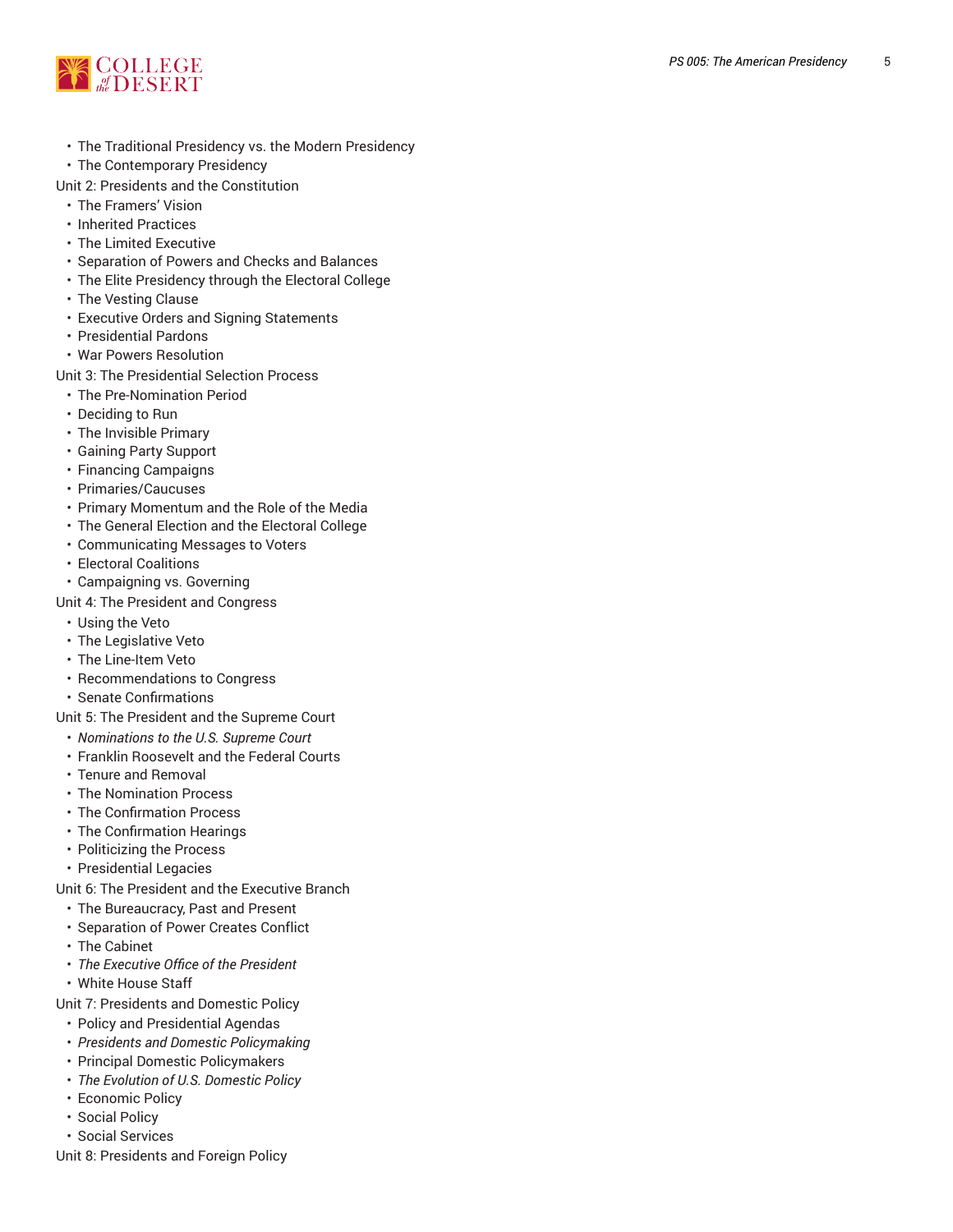

- The Traditional Presidency vs. the Modern Presidency
- The Contemporary Presidency

Unit 2: Presidents and the Constitution

- $\cdot\,$  The Framers' Vision
- Inherited Practices
- The Limited Executiv e
- Separation of Powers and Checks and Balances
- $\cdot$  The Elite Presidency through the Electoral College
- $\cdot\,$  The Vesting Clause
- Executive Orders and Signing Statements
- $\cdot$  Presidential Pardons
- War Powers Resolution

Unit 3: The Presidential Selection Process

- The Pre-Nomination Period
- Deciding to Run
- $\cdot$  The Invisible Primary
- Gaining Party Support
- Financing Campaigns
- Primaries/Caucuses
- Primary Momentum and the Role of the Media
- The General Election and the Electoral College
- Communicating Messages to Voters
- Electoral Coalitions
- Campaigning vs. Governing

Unit 4: The President and Congress

- Using the Veto
- The Legislative Veto
- $\cdot$  The Line-Item Veto
- Recommendations to Congress
- Senate Confirmations
- Unit 5: The President and the Supreme Court
- Nominations to the U.S. Supreme Court
- $\cdot$  Franklin Roosevelt and the Federal Courts
- $\cdot$  Tenure and Removal
- The Nomination Proc e s s
- The Confirmation Process
- The Confirmation Hearings
- Politicizing the Process
- Presidential Legacies

Unit 6: The President and the Executive Branch

- The Bureaucracy, Past and Present
- Separation of Power Creates Conflict
- The Cabinet
- The Executive Office of the President
- White House Staff

Unit 7: Presidents and Domestic Policy

- Policy and Presidential Agendas
- Presidents and Domestic Policymaking
- Principal Domestic Policymakers
- The Evolution of U.S. Domestic Policy
- Economic Policy
- Social Policy
- Social Services
- Unit 8: Presidents and Foreign Policy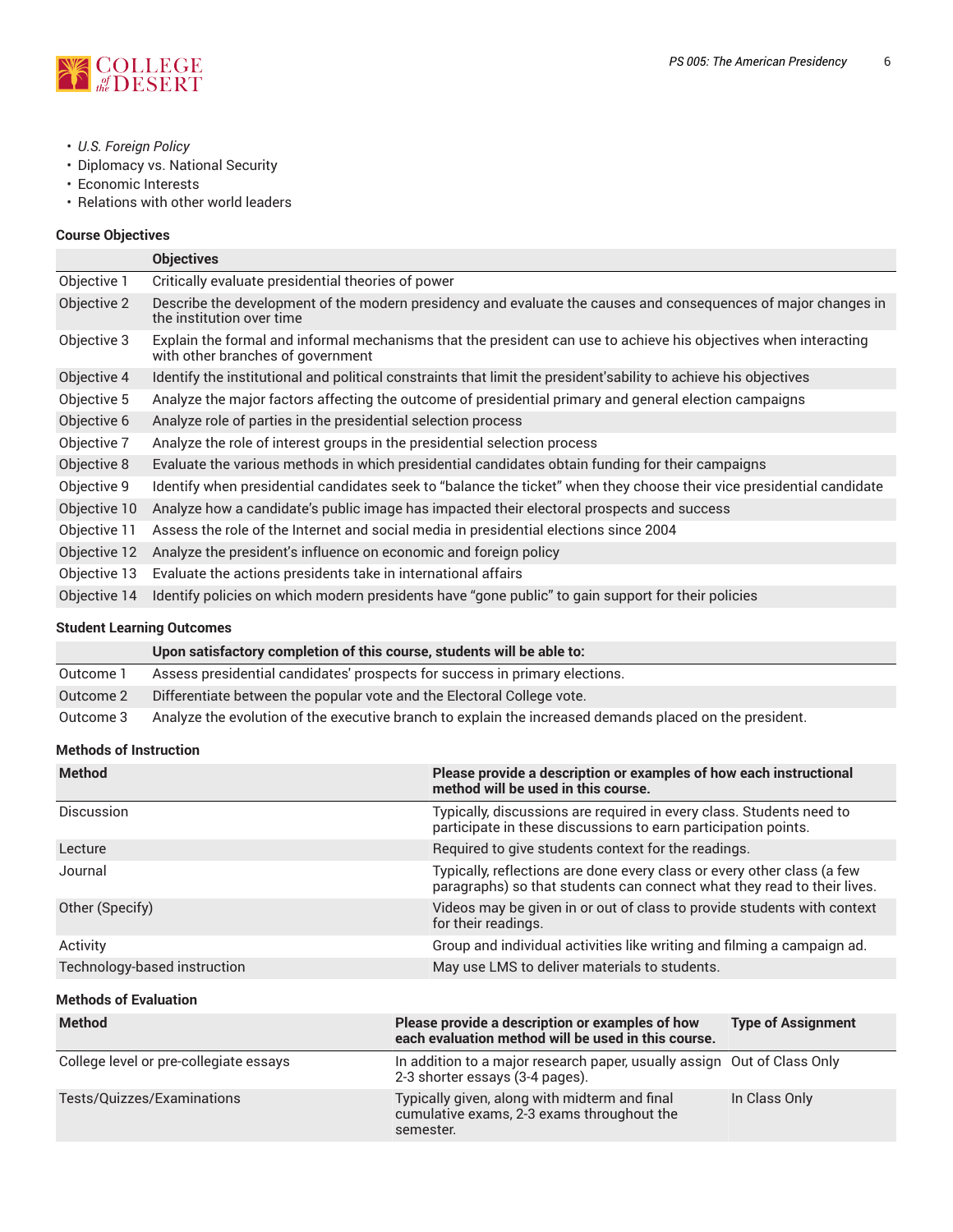

- *U.S. Foreign Policy*
- Diplomacy vs. National Security
- Economic Interests
- Relations with other world leaders

# **Course Objectives**

|              | <b>Objectives</b>                                                                                                                                     |
|--------------|-------------------------------------------------------------------------------------------------------------------------------------------------------|
| Objective 1  | Critically evaluate presidential theories of power                                                                                                    |
| Objective 2  | Describe the development of the modern presidency and evaluate the causes and consequences of major changes in<br>the institution over time           |
| Objective 3  | Explain the formal and informal mechanisms that the president can use to achieve his objectives when interacting<br>with other branches of government |
| Objective 4  | Identify the institutional and political constraints that limit the president's ability to achieve his objectives                                     |
| Objective 5  | Analyze the major factors affecting the outcome of presidential primary and general election campaigns                                                |
| Objective 6  | Analyze role of parties in the presidential selection process                                                                                         |
| Objective 7  | Analyze the role of interest groups in the presidential selection process                                                                             |
| Objective 8  | Evaluate the various methods in which presidential candidates obtain funding for their campaigns                                                      |
| Objective 9  | Identify when presidential candidates seek to "balance the ticket" when they choose their vice presidential candidate                                 |
| Objective 10 | Analyze how a candidate's public image has impacted their electoral prospects and success                                                             |
| Objective 11 | Assess the role of the Internet and social media in presidential elections since 2004                                                                 |
| Objective 12 | Analyze the president's influence on economic and foreign policy                                                                                      |
| Objective 13 | Evaluate the actions presidents take in international affairs                                                                                         |
| Objective 14 | Identify policies on which modern presidents have "gone public" to gain support for their policies                                                    |
|              |                                                                                                                                                       |

# **Student Learning Outcomes**

|           | Upon satisfactory completion of this course, students will be able to:                                  |
|-----------|---------------------------------------------------------------------------------------------------------|
| Outcome 1 | Assess presidential candidates' prospects for success in primary elections.                             |
| Outcome 2 | Differentiate between the popular vote and the Electoral College vote.                                  |
| Outcome 3 | Analyze the evolution of the executive branch to explain the increased demands placed on the president. |

# **Methods of Instruction**

| <b>Method</b>                          | Please provide a description or examples of how each instructional<br>method will be used in this course.                                          |                                                     |  |
|----------------------------------------|----------------------------------------------------------------------------------------------------------------------------------------------------|-----------------------------------------------------|--|
| Discussion                             | Typically, discussions are required in every class. Students need to<br>participate in these discussions to earn participation points.             |                                                     |  |
| Lecture                                |                                                                                                                                                    | Required to give students context for the readings. |  |
| Journal                                | Typically, reflections are done every class or every other class (a few<br>paragraphs) so that students can connect what they read to their lives. |                                                     |  |
| Other (Specify)                        | Videos may be given in or out of class to provide students with context<br>for their readings.                                                     |                                                     |  |
| Activity                               | Group and individual activities like writing and filming a campaign ad.                                                                            |                                                     |  |
| Technology-based instruction           | May use LMS to deliver materials to students.                                                                                                      |                                                     |  |
| <b>Methods of Evaluation</b>           |                                                                                                                                                    |                                                     |  |
| <b>Method</b>                          | Please provide a description or examples of how<br>each evaluation method will be used in this course.                                             | <b>Type of Assignment</b>                           |  |
| College level or pre-collegiate essays | In addition to a major research paper, usually assign Out of Class Only<br>2-3 shorter essays (3-4 pages).                                         |                                                     |  |
| Tests/Quizzes/Examinations             | Typically given, along with midterm and final<br>cumulative exams, 2-3 exams throughout the<br>semester.                                           | In Class Only                                       |  |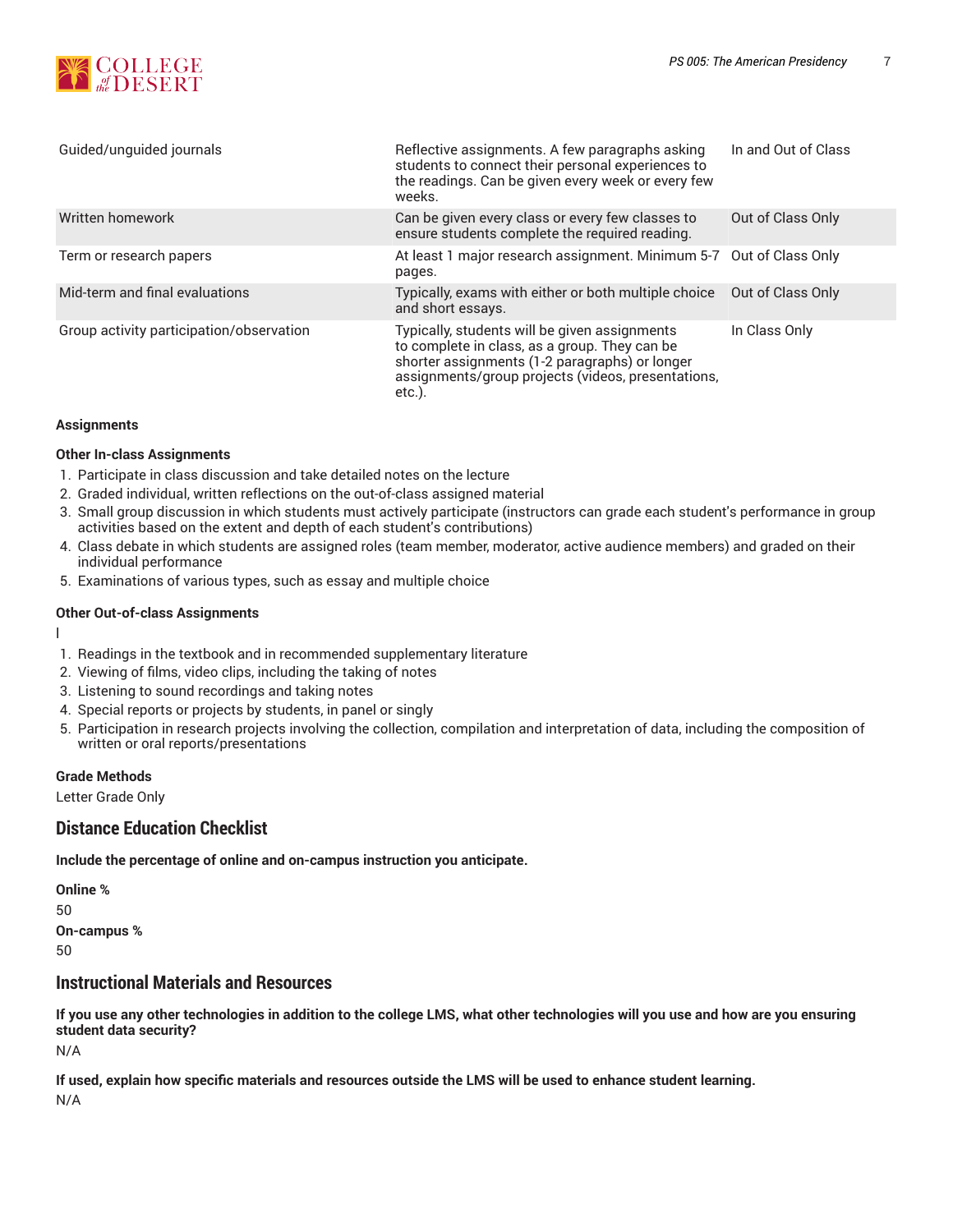

| Guided/unguided journals                 | Reflective assignments. A few paragraphs asking<br>students to connect their personal experiences to<br>the readings. Can be given every week or every few<br>weeks.                                            | In and Out of Class |
|------------------------------------------|-----------------------------------------------------------------------------------------------------------------------------------------------------------------------------------------------------------------|---------------------|
| Written homework                         | Can be given every class or every few classes to<br>ensure students complete the required reading.                                                                                                              | Out of Class Only   |
| Term or research papers                  | At least 1 major research assignment. Minimum 5-7 Out of Class Only<br>pages.                                                                                                                                   |                     |
| Mid-term and final evaluations           | Typically, exams with either or both multiple choice<br>and short essays.                                                                                                                                       | Out of Class Only   |
| Group activity participation/observation | Typically, students will be given assignments<br>to complete in class, as a group. They can be<br>shorter assignments (1-2 paragraphs) or longer<br>assignments/group projects (videos, presentations,<br>etc.) | In Class Only       |

#### **Assignments**

#### **Other In-class Assignments**

- 1. Participate in class discussion and take detailed notes on the lecture
- 2. Graded individual, written reflections on the out-of-class assigned material
- 3. Small group discussion in which students must actively participate (instructors can grade each student's performance in group activities based on the extent and depth of each student's contributions)
- 4. Class debate in which students are assigned roles (team member, moderator, active audience members) and graded on their individual performance
- 5. Examinations of various types, such as essay and multiple choice

### **Other Out-of-class Assignments**

l

- 1. Readings in the textbook and in recommended supplementary literature
- 2. Viewing of films, video clips, including the taking of notes
- 3. Listening to sound recordings and taking notes
- 4. Special reports or projects by students, in panel or singly
- 5. Participation in research projects involving the collection, compilation and interpretation of data, including the composition of written or oral reports/presentations

#### **Grade Methods**

Letter Grade Only

# **Distance Education Checklist**

**Include the percentage of online and on-campus instruction you anticipate.**

**Online %** 50 **On-campus %** 50

# **Instructional Materials and Resources**

If you use any other technologies in addition to the college LMS, what other technologies will you use and how are you ensuring **student data security?**

N/A

**If used, explain how specific materials and resources outside the LMS will be used to enhance student learning.** N/A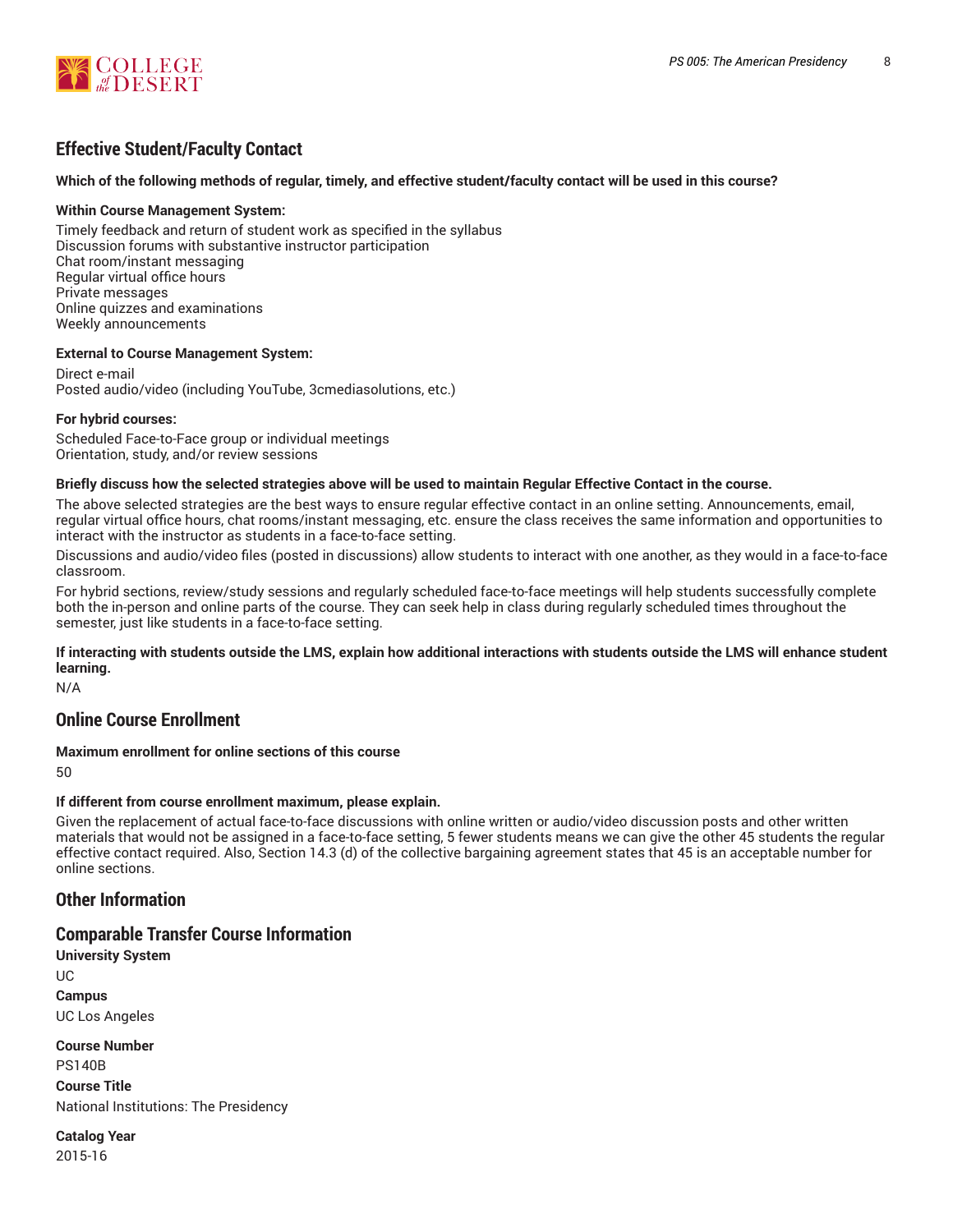

# **Effective Student/Faculty Contact**

#### Which of the following methods of regular, timely, and effective student/faculty contact will be used in this course?

#### **Within Course Management System:**

Timely feedback and return of student work as specified in the syllabus Discussion forums with substantive instructor participation Chat room/instant messaging Regular virtual office hours Private messages Online quizzes and examinations Weekly announcements

#### **External to Course Management System:**

Direct e-mail Posted audio/video (including YouTube, 3cmediasolutions, etc.)

#### **For hybrid courses:**

Scheduled Face-to-Face group or individual meetings Orientation, study, and/or review sessions

#### Briefly discuss how the selected strategies above will be used to maintain Regular Effective Contact in the course.

The above selected strategies are the best ways to ensure regular effective contact in an online setting. Announcements, email, regular virtual office hours, chat rooms/instant messaging, etc. ensure the class receives the same information and opportunities to interact with the instructor as students in a face-to-face setting.

Discussions and audio/video files (posted in discussions) allow students to interact with one another, as they would in a face-to-face classroom.

For hybrid sections, review/study sessions and regularly scheduled face-to-face meetings will help students successfully complete both the in-person and online parts of the course. They can seek help in class during regularly scheduled times throughout the semester, just like students in a face-to-face setting.

#### **If interacting with students outside the LMS, explain how additional interactions with students outside the LMS will enhance student learning.**

N/A

# **Online Course Enrollment**

**Maximum enrollment for online sections of this course**

50

#### **If different from course enrollment maximum, please explain.**

Given the replacement of actual face-to-face discussions with online written or audio/video discussion posts and other written materials that would not be assigned in a face-to-face setting, 5 fewer students means we can give the other 45 students the regular effective contact required. Also, Section 14.3 (d) of the collective bargaining agreement states that 45 is an acceptable number for online sections.

# **Other Information**

# **Comparable Transfer Course Information**

**University System** UC **Campus** UC Los Angeles

**Course Number** PS140B **Course Title** National Institutions: The Presidency

**Catalog Year** 2015-16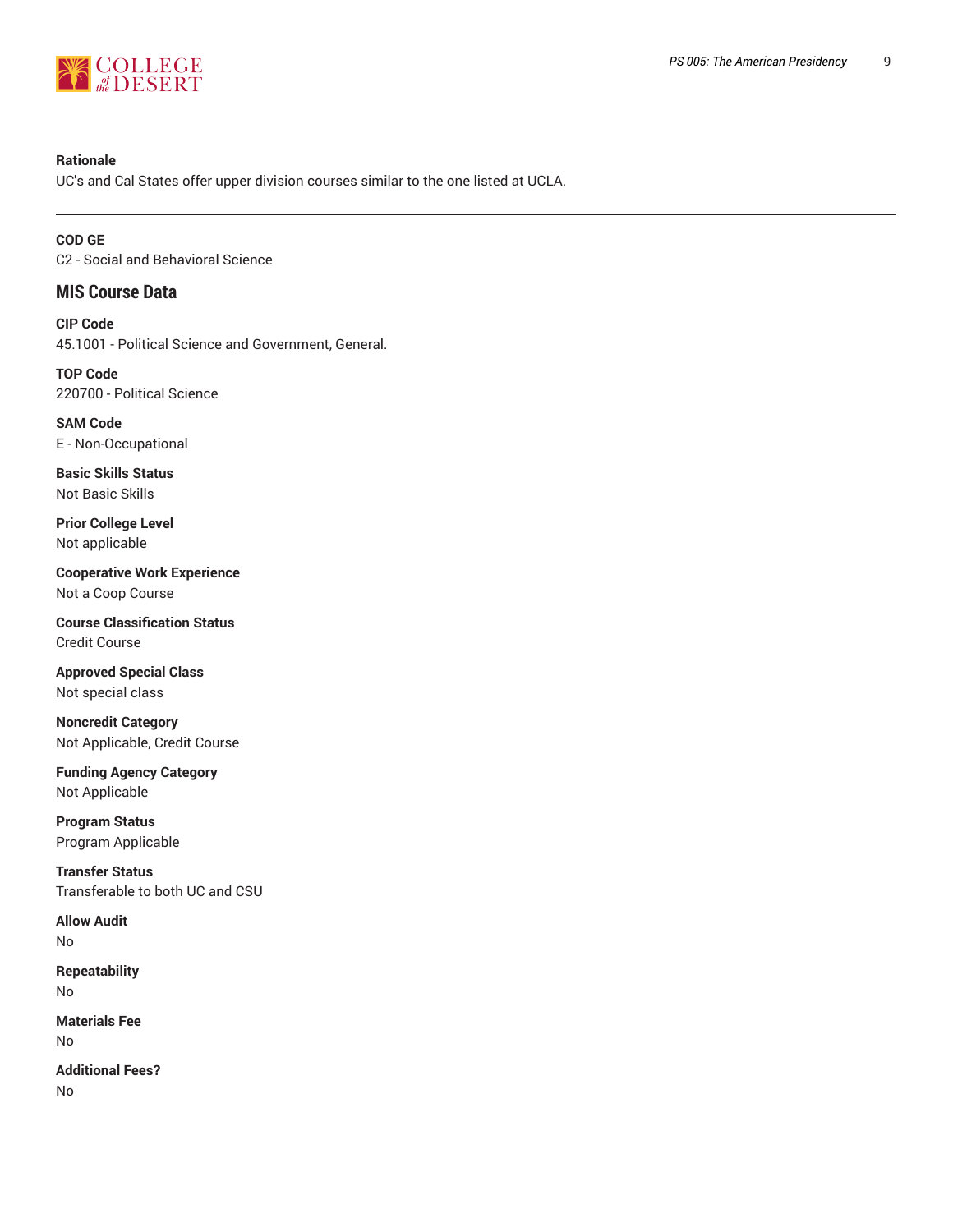

#### **Rationale**

UC's and Cal States offer upper division courses similar to the one listed at UCLA.

**COD GE** C2 - Social and Behavioral Science

# **MIS Course Data**

**CIP Code** 45.1001 - Political Science and Government, General.

**TOP Code** 220700 - Political Science

**SAM Code** E - Non-Occupational

**Basic Skills Status** Not Basic Skills

**Prior College Level** Not applicable

**Cooperative Work Experience** Not a Coop Course

**Course Classification Status** Credit Course

**Approved Special Class** Not special class

**Noncredit Category** Not Applicable, Credit Course

**Funding Agency Category** Not Applicable

**Program Status** Program Applicable

**Transfer Status** Transferable to both UC and CSU

**Allow Audit** No

**Repeatability** No

**Materials Fee** No

**Additional Fees?** No